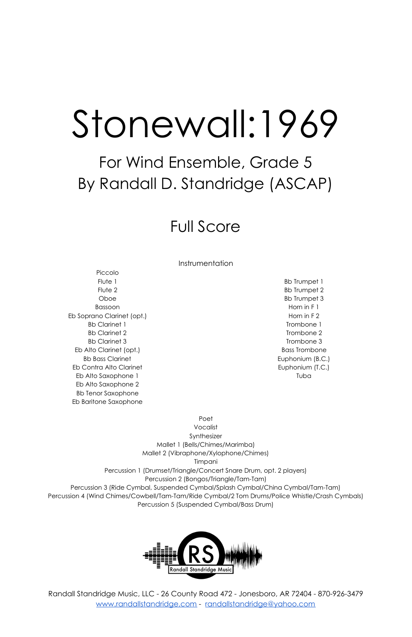# Stonewall:1969

## For Wind Ensemble, Grade 5 By Randall D. Standridge (ASCAP)

## Full Score

Instrumentation

Piccolo Flute 1 Flute 2 Oboe Bassoon Eb Soprano Clarinet (opt.) Bb Clarinet 1 Bb Clarinet 2 Bb Clarinet 3 Eb Alto Clarinet (opt.) Bb Bass Clarinet Eb Contra Alto Clarinet Eb Alto Saxophone 1 Eb Alto Saxophone 2 Bb Tenor Saxophone Eb Baritone Saxophone

Bb Trumpet 1 Bb Trumpet 2 Bb Trumpet 3 Horn in F 1 Horn in F 2 Trombone 1 Trombone 2 Trombone 3 Bass Trombone Euphonium (B.C.) Euphonium (T.C.) Tuba

Poet Vocalist Synthesizer Mallet 1 (Bells/Chimes/Marimba) Mallet 2 (Vibraphone/Xylophone/Chimes) Timpani Percussion 1 (Drumset/Triangle/Concert Snare Drum, opt. 2 players) Percussion 2 (Bongos/Triangle/Tam-Tam) Percussion 3 (Ride Cymbal, Suspended Cymbal/Splash Cymbal/China Cymbal/Tam-Tam) Percussion 4 (Wind Chimes/Cowbell/Tam-Tam/Ride Cymbal/2 Tom Drums/Police Whistle/Crash Cymbals) Percussion 5 (Suspended Cymbal/Bass Drum)



Randall Standridge Music, LLC - 26 County Road 472 - Jonesboro, AR 72404 - 870-926-3479 [www.randallstandridge.com](http://www.randallstandridge.com/) - [randallstandridge@yahoo.com](mailto:randallstandridge@yahoo.com)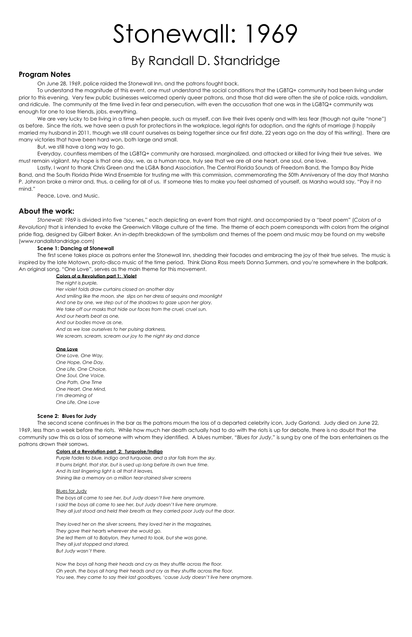## Stonewall: 1969

### By Randall D. Standridge

#### **Program Notes**

On June 28, 1969, police raided the Stonewall Inn, and the patrons fought back.

To understand the magnitude of this event, one must understand the social conditions that the LGBTQ+ community had been living under prior to this evening. Very few public businesses welcomed openly queer patrons, and those that did were often the site of police raids, vandalism, and ridicule. The community at the time lived in fear and persecution, with even the accusation that one was in the LGBTQ+ community was enough for one to lose friends, jobs, everything.

We are very lucky to be living in a time when people, such as myself, can live their lives openly and with less fear (though not quite "none") as before. Since the riots, we have seen a push for protections in the workplace, legal rights for adoption, and the rights of marriage (I happily married my husband in 2011, though we still count ourselves as being together since our first date, 22 years ago on the day of this writing). There are many victories that have been hard won, both large and small.

But, we still have a long way to go.

Everyday, countless members of the LGBTQ+ community are harassed, marginalized, and attacked or killed for living their true selves. We must remain vigilant. My hope is that one day, we, as a human race, truly see that we are all one heart, one soul, one love.

Lastly, I want to thank Chris Green and the LGBA Band Association, The Central Florida Sounds of Freedom Band, the Tampa Bay Pride Band, and the South Florida Pride Wind Ensemble for trusting me with this commission, commemorating the 50th Anniversary of the day that Marsha P. Johnson broke a mirror and, thus, a ceiling for all of us. If someone tries to make you feel ashamed of yourself, as Marsha would say, "Pay it no mind."

Peace, Love, and Music.

#### **About the work:**

*Stonewall: 1969* is divided into five "scenes," each depicting an event from that night, and accompanied by a "beat poem" (*Colors of a Revolution)* that is intended to evoke the Greenwich Village culture of the time. The theme of each poem corresponds with colors from the original pride flag, designed by Gilbert Baker. An in-depth breakdown of the symbolism and themes of the poem and music may be found on my website (www.randallstandridge.com)

#### **Scene 1: Dancing at Stonewall**

The first scene takes place as patrons enter the Stonewall Inn, shedding their facades and embracing the joy of their true selves. The music is inspired by the late Motown, proto-disco music of the time period. Think Diana Ross meets Donna Summers, and you're somewhere in the ballpark. An original song, "One Love", serves as the main theme for this movement.

#### **Colors of a Revolution part 1: Violet**

*The night is purple, Her violet folds draw curtains closed on another day And smiling like the moon, she slips on her dress of sequins and moonlight And one by one, we step out of the shadows to gaze upon her glory, We take off our masks that hide our faces from the cruel, cruel sun. And our hearts beat as one, And our bodies move as one, And as we lose ourselves to her pulsing darkness, We scream, scream, scream our joy to the night sky and dance*

#### **One Love**

*One Love, One Way, One Hope, One Day, One Life, One Choice, One Soul, One Voice, One Path, One Time One Heart, One Mind, I'm dreaming of One Life, One Love*

#### **Scene 2: Blues for Judy**

The second scene continues in the bar as the patrons mourn the loss of a departed celebrity icon, Judy Garland. Judy died on June 22, 1969, less than a week before the riots. While how much her death actually had to do with the riots is up for debate, there is no doubt that the community saw this as a loss of someone with whom they identified. A blues number, "*Blues for Judy*," is sung by one of the bars entertainers as the patrons drown their sorrows.

#### **Colors of a Revolution part 2: Turquoise/Indigo**

*Purple fades to blue, indigo and turquoise, and a star falls from the sky. It burns bright, that star, but is used up long before its own true time.*

*And its last lingering light is all that it leaves, Shining like a memory on a million tear-stained silver screens*

#### Blues for Judy

*The boys all came to see her, but Judy doesn't live here anymore. I said the boys all came to see her, but Judy doesn't live here anymore. They all just stood and held their breath as they carried poor Judy out the door.*

*They loved her on the silver screens, they loved her in the magazines, They gave their hearts wherever she would go. She led them all to Babylon, they turned to look, but she was gone, They all just stopped and stared, But Judy wasn't there.*

*Now the boys all hang their heads and cry as they shuffle across the floor. Oh yeah, the boys all hang their heads and cry as they shuffle across the floor. You see, they came to say their last goodbyes, 'cause Judy doesn't live here anymore.*